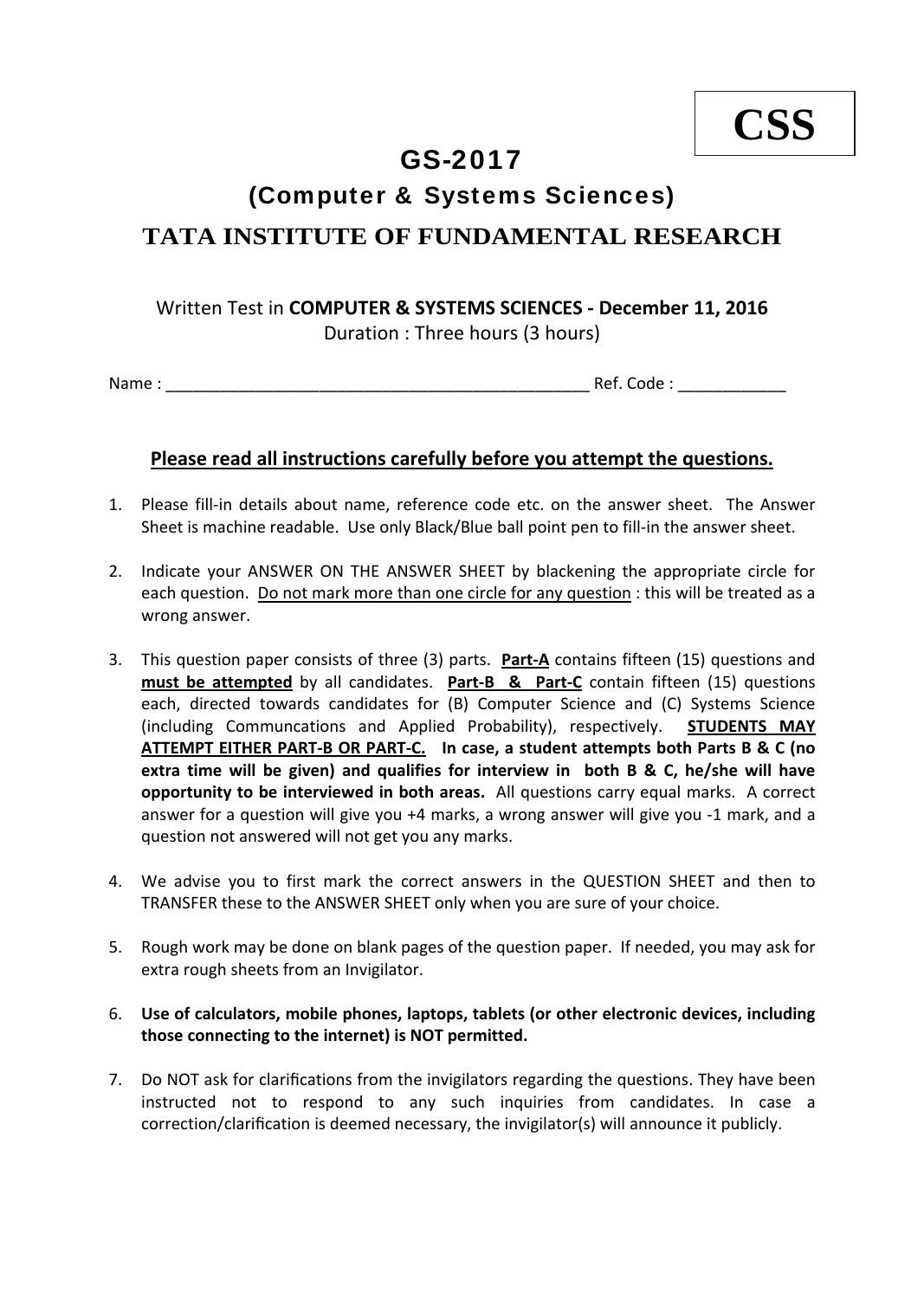## GS-2017

## (Computer & Systems Sciences)

## **TATA INSTITUTE OF FUNDAMENTAL RESEARCH**

## Written Test in **COMPUTER & SYSTEMS SCIENCES ‐ December 11, 2016** Duration : Three hours (3 hours)

Name : \_\_\_\_\_\_\_\_\_\_\_\_\_\_\_\_\_\_\_\_\_\_\_\_\_\_\_\_\_\_\_\_\_\_\_\_\_\_\_\_\_\_\_\_\_\_\_ Ref. Code : \_\_\_\_\_\_\_\_\_\_\_\_

### **Please read all instructions carefully before you attempt the questions.**

- 1. Please fill-in details about name, reference code etc. on the answer sheet. The Answer Sheet is machine readable. Use only Black/Blue ball point pen to fill‐in the answer sheet.
- 2. Indicate your ANSWER ON THE ANSWER SHEET by blackening the appropriate circle for each question. Do not mark more than one circle for any question : this will be treated as a wrong answer.
- 3. This question paper consists of three (3) parts. **Part‐A** contains fifteen (15) questions and **must be attempted** by all candidates. **Part‐B & Part‐C** contain fifteen (15) questions each, directed towards candidates for (B) Computer Science and (C) Systems Science (including Communcations and Applied Probability), respectively. **STUDENTS MAY** ATTEMPT EITHER PART-B OR PART-C. In case, a student attempts both Parts B & C (no **extra time will be given) and qualifies for interview in both B & C, he/she will have opportunity to be interviewed in both areas.** All questions carry equal marks. A correct answer for a question will give you +4 marks, a wrong answer will give you ‐1 mark, and a question not answered will not get you any marks.
- 4. We advise you to first mark the correct answers in the QUESTION SHEET and then to TRANSFER these to the ANSWER SHEET only when you are sure of your choice.
- 5. Rough work may be done on blank pages of the question paper. If needed, you may ask for extra rough sheets from an Invigilator.
- 6. **Use of calculators, mobile phones, laptops, tablets (or other electronic devices, including those connecting to the internet) is NOT permitted.**
- 7. Do NOT ask for clarifications from the invigilators regarding the questions. They have been instructed not to respond to any such inquiries from candidates. In case a correction/clarification is deemed necessary, the invigilator(s) will announce it publicly.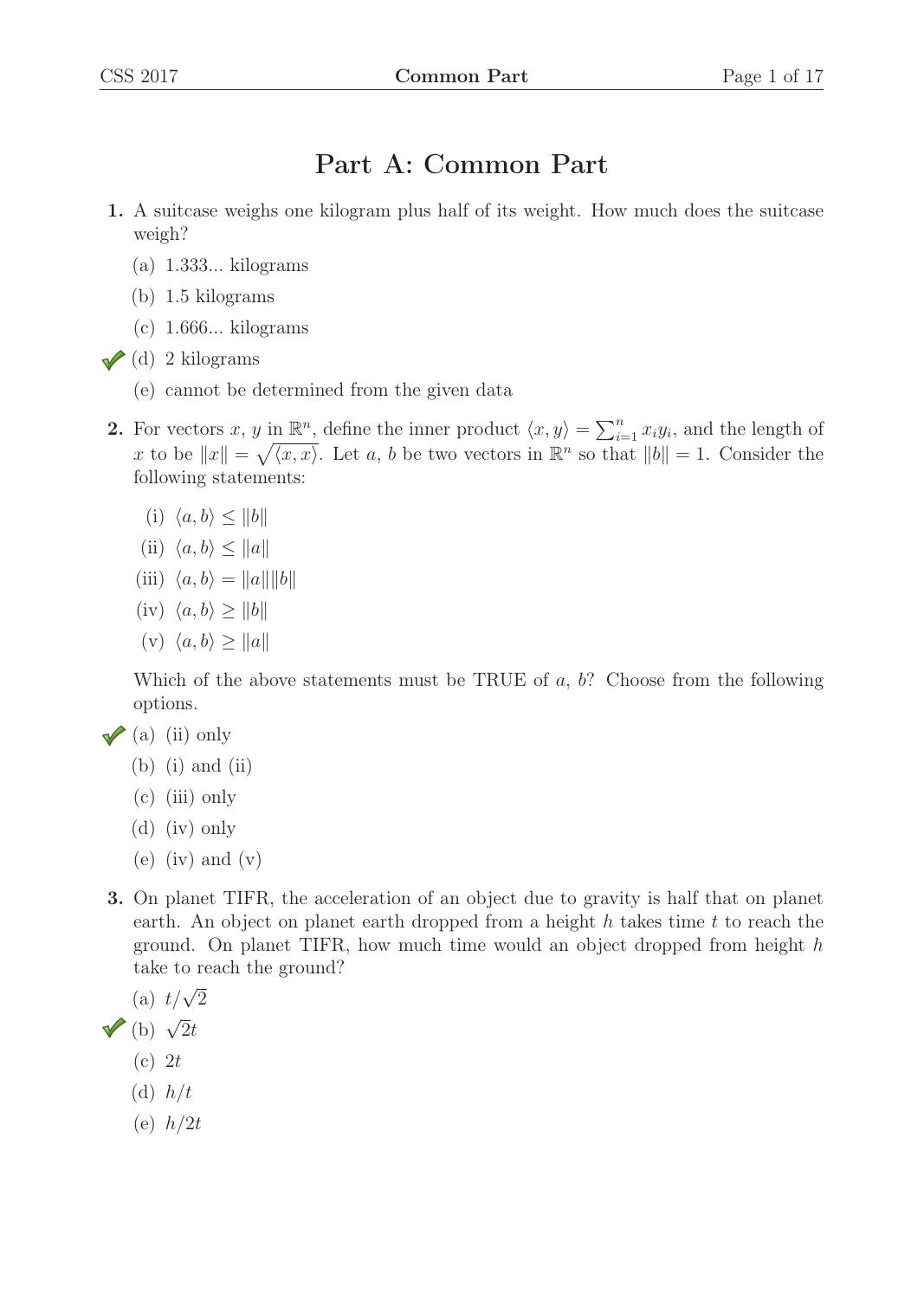## Part A: Common Part

- 1. A suitcase weighs one kilogram plus half of its weight. How much does the suitcase weigh?
	- (a) 1.333... kilograms
	- (b) 1.5 kilograms
	- (c) 1.666... kilograms
- $\sqrt{d}$  2 kilograms
	- (e) cannot be determined from the given data
- 2. For vectors x, y in  $\mathbb{R}^n$ , define the inner product  $\langle x, y \rangle = \sum_{i=1}^n x_i y_i$ , and the length of x to be  $||x|| = \sqrt{\langle x, x \rangle}$ . Let a, b be two vectors in  $\mathbb{R}^n$  so that  $||b|| = 1$ . Consider the following statements: following statements:
	- (i)  $\langle a, b \rangle \le ||b||$
	- (ii)  $\langle a, b \rangle \leq ||a||$
	- (iii)  $\langle a, b \rangle = ||a|| ||b||$
	- (iv)  $\langle a, b \rangle \ge ||b||$
	- (v)  $\langle a, b \rangle \ge ||a||$

Which of the above statements must be TRUE of  $a, b$ ? Choose from the following options.

- $\sqrt{a}$  (ii) only
	- $(b)$  (i) and (ii)
	- (c) (iii) only
	- (d) (iv) only
	- $(e)$  (iv) and  $(v)$
- 3. On planet TIFR, the acceleration of an object due to gravity is half that on planet earth. An object on planet earth dropped from a height  $h$  takes time  $t$  to reach the ground. On planet TIFR, how much time would an object dropped from height h take to reach the ground?

(a) 
$$
t/\sqrt{2}
$$

- (b)  $\sqrt{2}t$ 
	- $(c)$  2t
	- (d)  $h/t$
	- (e)  $h/2t$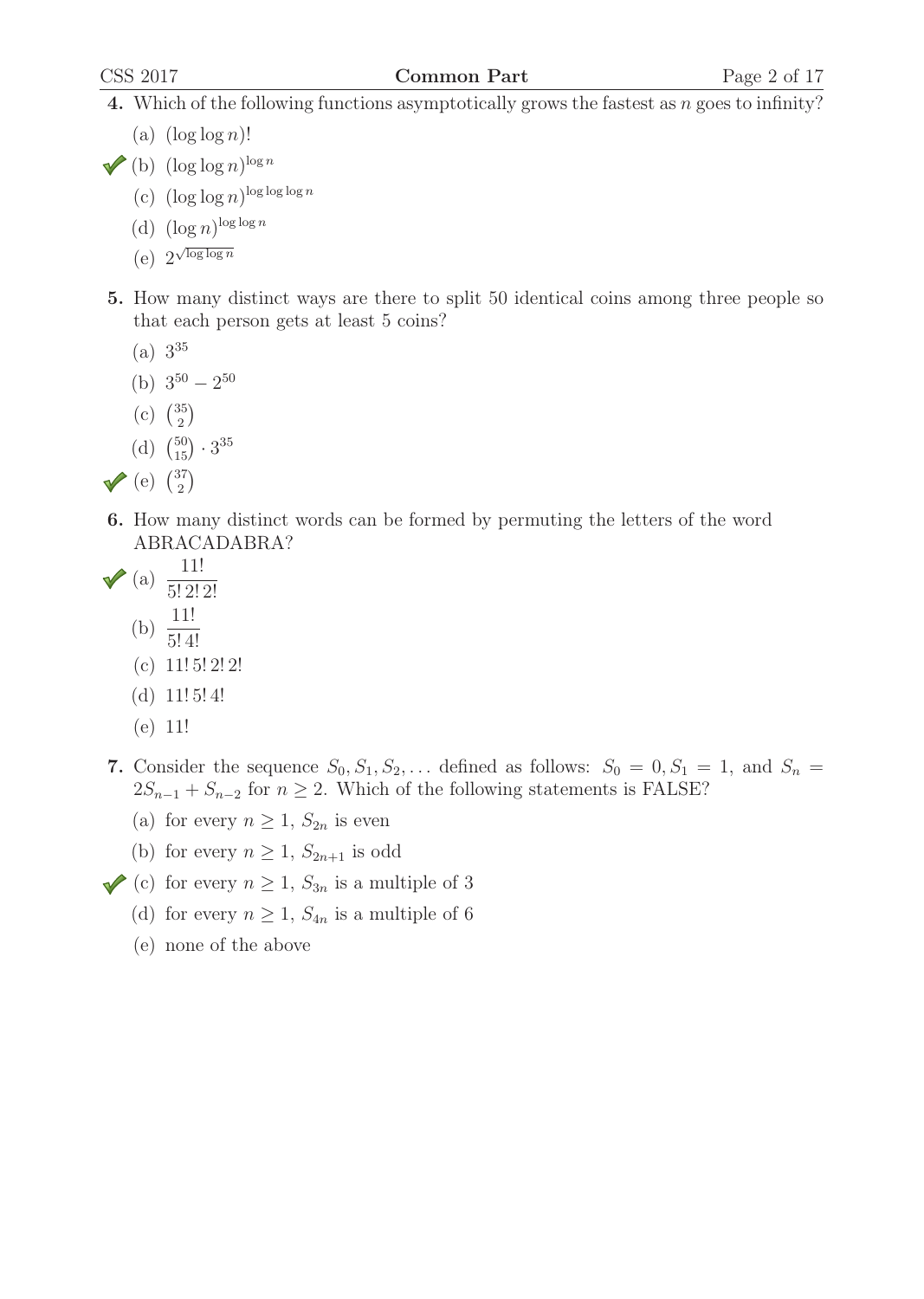#### CSS 2017 Common Part Page 2 of 17

- 4. Which of the following functions asymptotically grows the fastest as n goes to infinity?
	- (a)  $(\log \log n)!$
- (b)  $(\log \log n)^{\log n}$ 
	- (c)  $(\log \log n)^{\log \log \log n}$
	- (d)  $(\log n)^{\log \log n}$
	- (e)  $2^{\sqrt{\log \log n}}$
- 5. How many distinct ways are there to split 50 identical coins among three people so that each person gets at least 5 coins?
	- $(a) 3^{35}$
	- (b)  $3^{50} 2^{50}$
	- (c)  $\binom{35}{2}$
	- (d)  $\binom{50}{15} \cdot 3^{35}$
- (e)  $\binom{37}{2}$
- 6. How many distinct words can be formed by permuting the letters of the word ABRACADABRA?
- $\sqrt{\phantom{0}}$  (a)  $\frac{11!}{5! \, 2! \, 2!}$  $\frac{5!}{11!}$ 
	- (b)  $\frac{11!}{5!4}$
	- (c)  $11!5!2!2!$
	- (d)  $11!5!4!$
	- (e) 11!
- 7. Consider the sequence  $S_0, S_1, S_2, \ldots$  defined as follows:  $S_0 = 0, S_1 = 1$ , and  $S_n =$  $2S_{n-1} + S_{n-2}$  for  $n \geq 2$ . Which of the following statements is FALSE?
	- (a) for every  $n \geq 1$ ,  $S_{2n}$  is even
	- (b) for every  $n \geq 1$ ,  $S_{2n+1}$  is odd
- (c) for every  $n \geq 1$ ,  $S_{3n}$  is a multiple of 3
	- (d) for every  $n \geq 1$ ,  $S_{4n}$  is a multiple of 6
	- (e) none of the above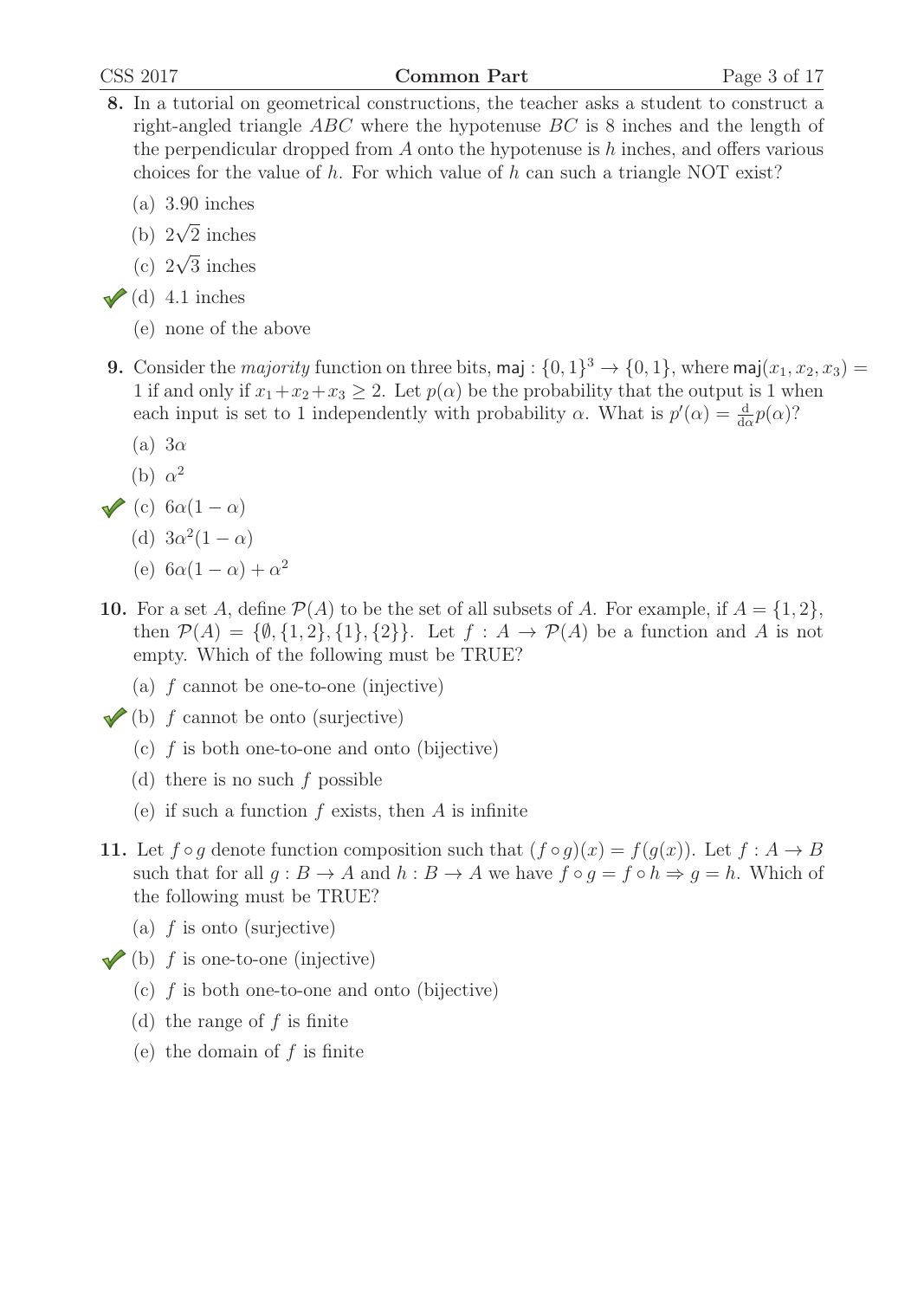#### CSS 2017 Common Part Page 3 of 17

- 8. In a tutorial on geometrical constructions, the teacher asks a student to construct a right-angled triangle ABC where the hypotenuse BC is 8 inches and the length of the perpendicular dropped from A onto the hypotenuse is h inches, and offers various choices for the value of h. For which value of h can such a triangle NOT exist?
	- (a) 3.90 inches
	- (b)  $2\sqrt{2}$  inches
	- (c)  $2\sqrt{3}$  inches
- $\checkmark$  (d) 4.1 inches
	- (e) none of the above
- 9. Consider the *majority* function on three bits, maj :  $\{0,1\}^3 \rightarrow \{0,1\}$ , where maj $(x_1, x_2, x_3)$  = 1 if and only if  $x_1+x_2+x_3 \geq 2$ . Let  $p(\alpha)$  be the probability that the output is 1 when each input is set to 1 independently with probability  $\alpha$ . What is  $p'(\alpha) = \frac{d}{d\alpha}p(\alpha)$ ?
	- (a)  $3\alpha$
	- (b)  $\alpha^2$
- (c)  $6\alpha(1-\alpha)$ 
	- (d)  $3\alpha^2(1-\alpha)$
	- (e)  $6\alpha(1-\alpha) + \alpha^2$
- 10. For a set A, define  $\mathcal{P}(A)$  to be the set of all subsets of A. For example, if  $A = \{1, 2\}$ , then  $\mathcal{P}(A) = \{\emptyset, \{1, 2\}, \{1\}, \{2\}\}\$ . Let  $f : A \to \mathcal{P}(A)$  be a function and A is not empty. Which of the following must be TRUE?
	- (a) f cannot be one-to-one (injective)
- $\checkmark$  (b) f cannot be onto (surjective)
	- (c)  $f$  is both one-to-one and onto (bijective)
	- (d) there is no such f possible
	- (e) if such a function  $f$  exists, then  $A$  is infinite
- 11. Let  $f \circ g$  denote function composition such that  $(f \circ g)(x) = f(g(x))$ . Let  $f : A \to B$ such that for all  $g : B \to A$  and  $h : B \to A$  we have  $f \circ g = f \circ h \Rightarrow g = h$ . Which of the following must be TRUE?
	- (a)  $f$  is onto (surjective)
- $\blacktriangleright$  (b) f is one-to-one (injective)
	- (c)  $f$  is both one-to-one and onto (bijective)
	- (d) the range of  $f$  is finite
	- (e) the domain of  $f$  is finite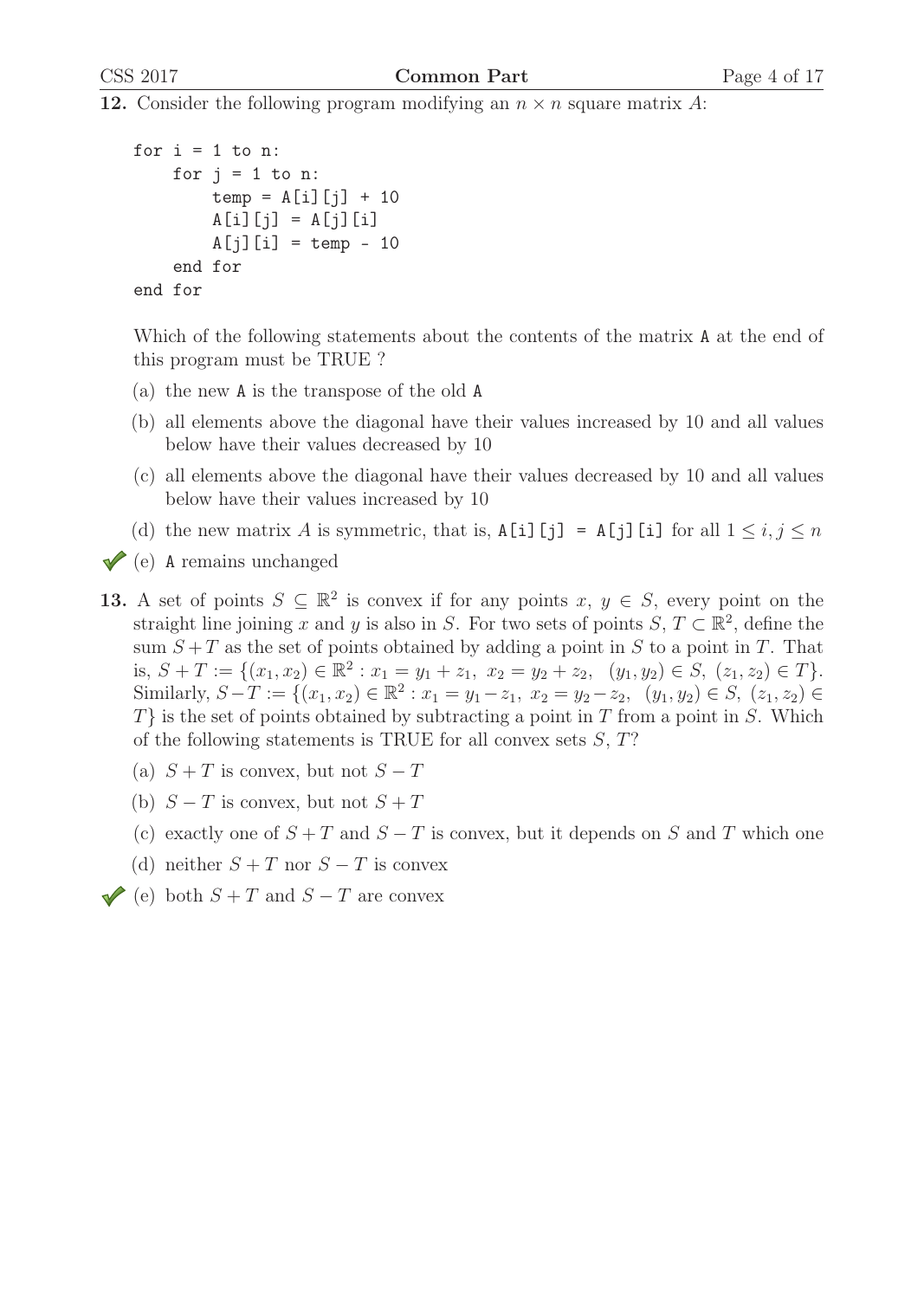**12.** Consider the following program modifying an  $n \times n$  square matrix A:

```
for i = 1 to n:
    for j = 1 to n:
        temp = A[i][j] + 10A[i][j] = A[j][i]A[j][i] = temp - 10end for
end for
```
Which of the following statements about the contents of the matrix A at the end of this program must be TRUE ?

- (a) the new A is the transpose of the old A
- (b) all elements above the diagonal have their values increased by 10 and all values below have their values decreased by 10
- (c) all elements above the diagonal have their values decreased by 10 and all values below have their values increased by 10
- (d) the new matrix A is symmetric, that is,  $A[i][j] = A[j][i]$  for all  $1 \le i, j \le n$
- $\sqrt{\ }$  (e) A remains unchanged
- 13. A set of points  $S \subseteq \mathbb{R}^2$  is convex if for any points  $x, y \in S$ , every point on the straight line joining x and y is also in S. For two sets of points  $S, T \subset \mathbb{R}^2$ , define the sum  $S + T$  as the set of points obtained by adding a point in S to a point in T. That is,  $S + T := \{(x_1, x_2) \in \mathbb{R}^2 : x_1 = y_1 + z_1, x_2 = y_2 + z_2, (y_1, y_2) \in S, (z_1, z_2) \in T\}.$ Similarly,  $S - T := \{(x_1, x_2) \in \mathbb{R}^2 : x_1 = y_1 - z_1, x_2 = y_2 - z_2, (y_1, y_2) \in S, (z_1, z_2) \in$  $T\}$  is the set of points obtained by subtracting a point in T from a point in S. Which of the following statements is TRUE for all convex sets  $S, T$ ?
	- (a)  $S + T$  is convex, but not  $S T$
	- (b)  $S-T$  is convex, but not  $S+T$
	- (c) exactly one of  $S + T$  and  $S T$  is convex, but it depends on S and T which one
	- (d) neither  $S + T$  nor  $S T$  is convex
- (e) both  $S + T$  and  $S T$  are convex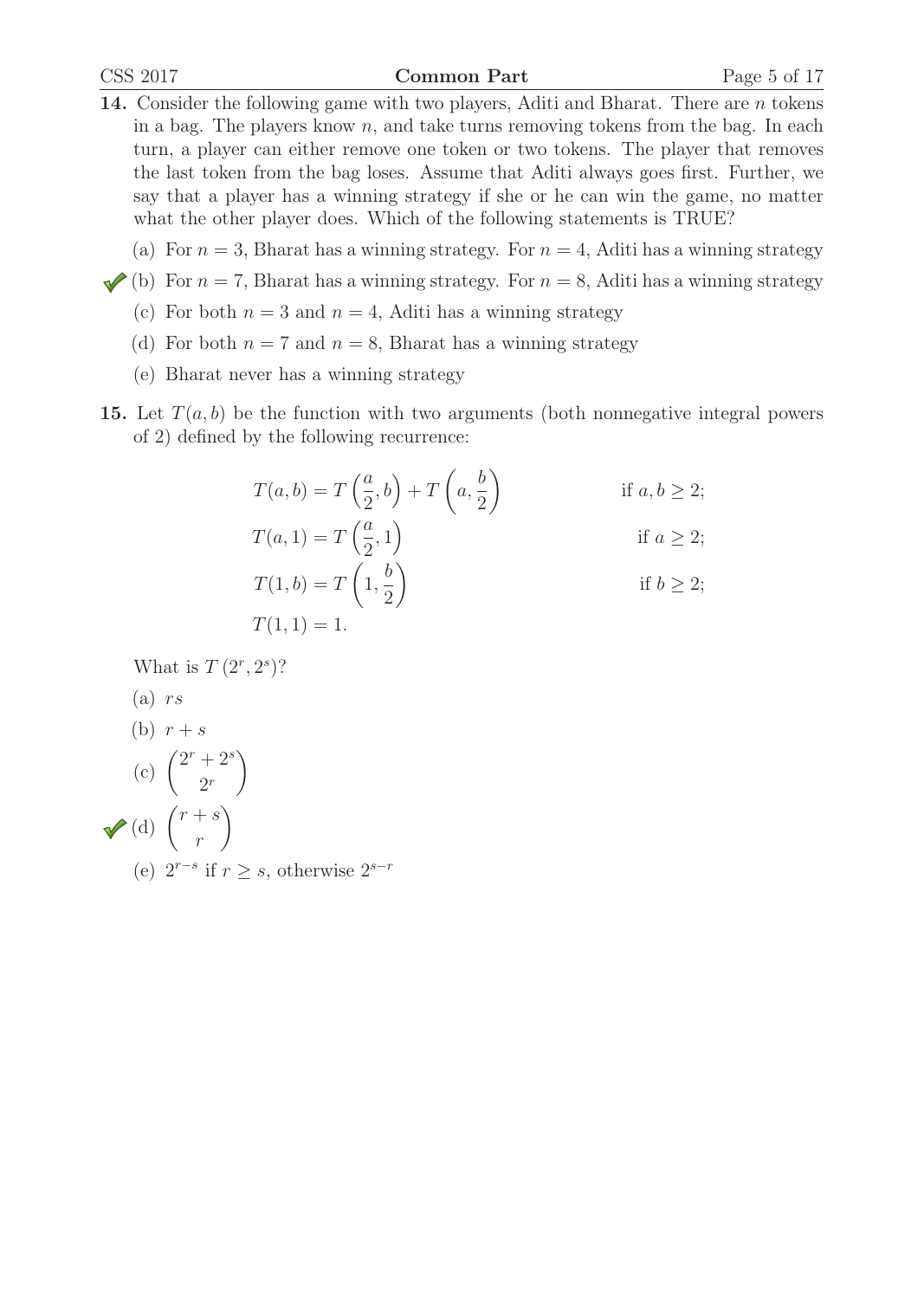- 14. Consider the following game with two players, Aditi and Bharat. There are *n* tokens in a bag. The players know  $n$ , and take turns removing tokens from the bag. In each turn, a player can either remove one token or two tokens. The player that removes the last token from the bag loses. Assume that Aditi always goes first. Further, we say that a player has a winning strategy if she or he can win the game, no matter what the other player does. Which of the following statements is TRUE?
	- (a) For  $n = 3$ , Bharat has a winning strategy. For  $n = 4$ , Aditi has a winning strategy
- (b) For  $n = 7$ , Bharat has a winning strategy. For  $n = 8$ , Aditi has a winning strategy
	- (c) For both  $n = 3$  and  $n = 4$ , Aditi has a winning strategy
	- (d) For both  $n = 7$  and  $n = 8$ , Bharat has a winning strategy
	- (e) Bharat never has a winning strategy
- **15.** Let  $T(a, b)$  be the function with two arguments (both nonnegative integral powers of 2) defined by the following recurrence:

$$
T(a,b) = T\left(\frac{a}{2},b\right) + T\left(a,\frac{b}{2}\right)
$$
if  $a, b \ge 2$ ;  

$$
T(a,1) = T\left(\frac{a}{2},1\right)
$$
if  $a \ge 2$ ;

$$
T(1, b) = T\left(1, \frac{b}{2}\right)
$$
 if  $b \ge 2$ ;

$$
T(1,1)=1.
$$

What is  $T(2^r, 2^s)$ ?

- $(a)$  rs
- (b)  $r + s$

(c) 
$$
\binom{2^r + 2^s}{2^r}
$$
  
\n(d)  $\binom{r+s}{r}$   
\n(e)  $2^{r-s}$  if  $r \ge s$ , otherwise  $2^{s-r}$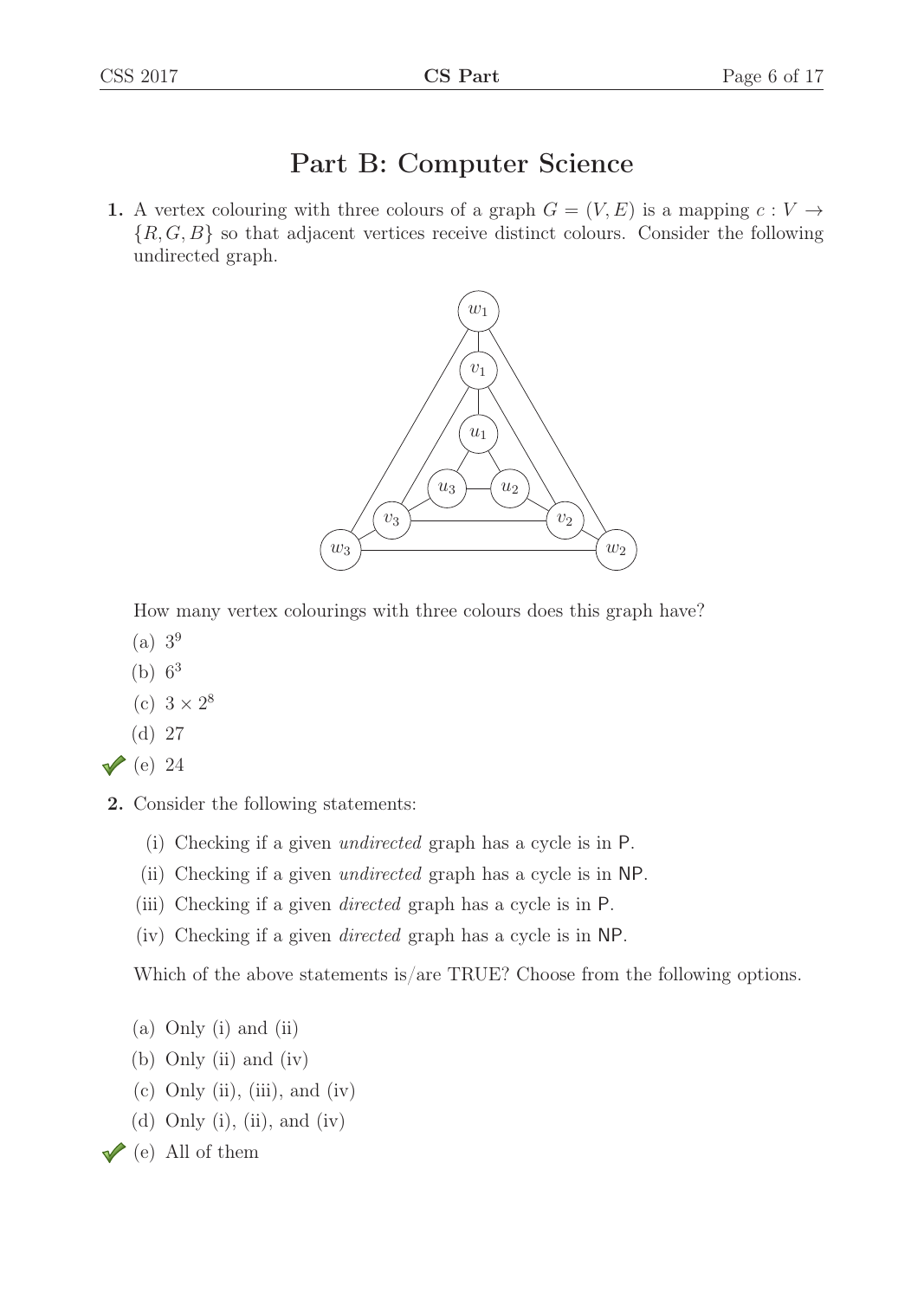# Part B: Computer Science

1. A vertex colouring with three colours of a graph  $G = (V, E)$  is a mapping  $c: V \rightarrow$  ${R, G, B}$  so that adjacent vertices receive distinct colours. Consider the following undirected graph.



How many vertex colourings with three colours does this graph have?

- (a) 3<sup>9</sup>
- (b)  $6^3$
- (c)  $3 \times 2^8$
- (d) 27
- $\vee$  (e) 24
- 2. Consider the following statements:
	- (i) Checking if a given undirected graph has a cycle is in P.
	- (ii) Checking if a given undirected graph has a cycle is in NP.
	- (iii) Checking if a given directed graph has a cycle is in P.
	- (iv) Checking if a given directed graph has a cycle is in NP.

Which of the above statements is/are TRUE? Choose from the following options.

- (a) Only (i) and (ii)
- (b) Only (ii) and (iv)
- $(c)$  Only  $(ii)$ ,  $(iii)$ , and  $(iv)$
- (d) Only (i), (ii), and (iv)
- $\sqrt{\ }$  (e) All of them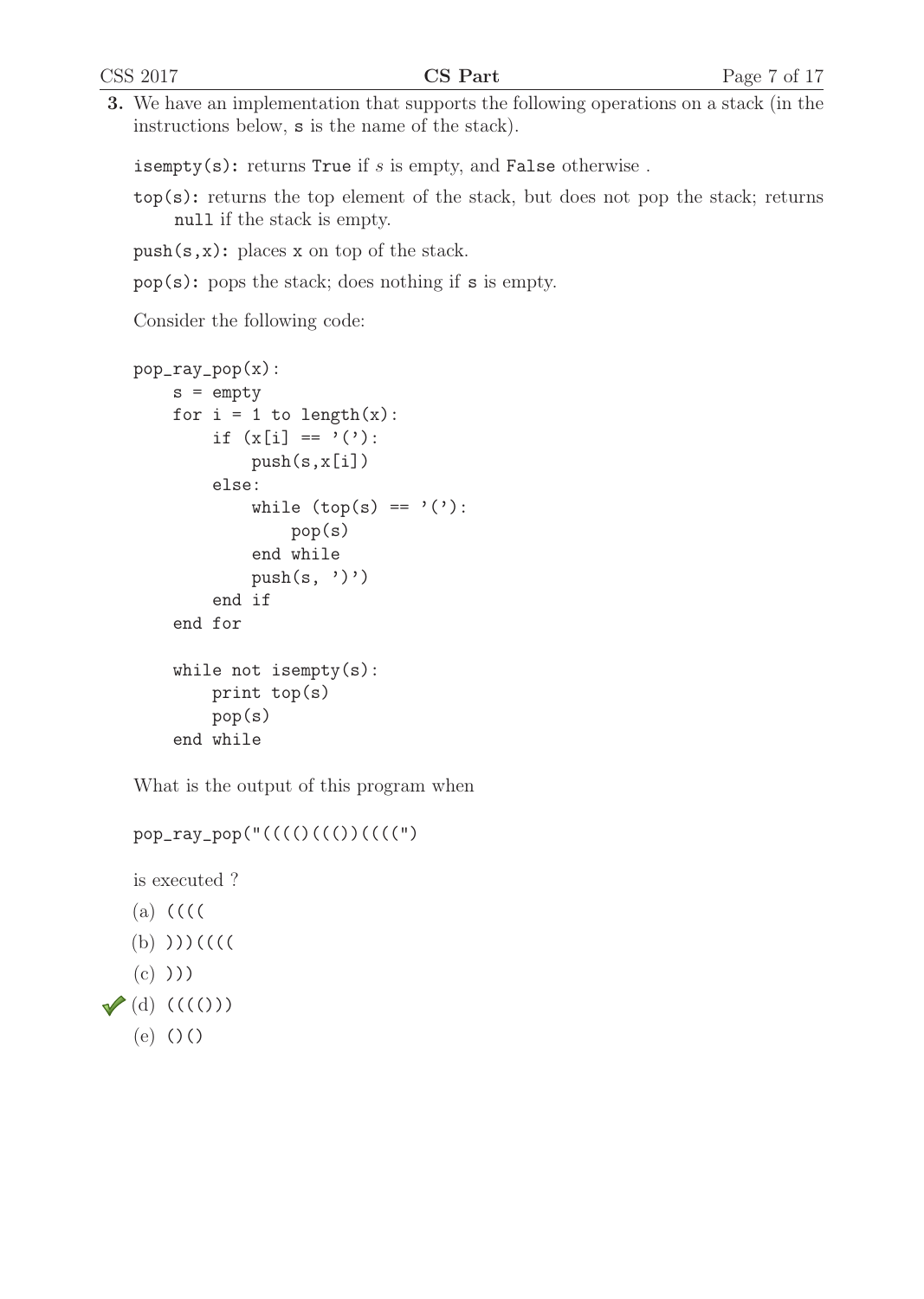3. We have an implementation that supports the following operations on a stack (in the instructions below, s is the name of the stack).

isempty(s): returns True if  $s$  is empty, and False otherwise.

- top(s): returns the top element of the stack, but does not pop the stack; returns null if the stack is empty.
- push(s,x): places x on top of the stack.
- pop(s): pops the stack; does nothing if s is empty.

Consider the following code:

```
pop_ray_pop(x):
    s = empty
    for i = 1 to length(x):
        if (x[i] == '('):push(s, x[i])else:
            while (\text{top}(s) == ''):
                 pop(s)
             end while
            push(s, '')end if
    end for
    while not isempty(s):
        print top(s)
        pop(s)
    end while
```
What is the output of this program when

```
pop_ray_pop("(((()((())((((")
```
is executed ?

- (a) (((( (b) )))((((
- $(c)$ )))
- $\blacktriangledown$  (d) ((((()))
	- (e) ()()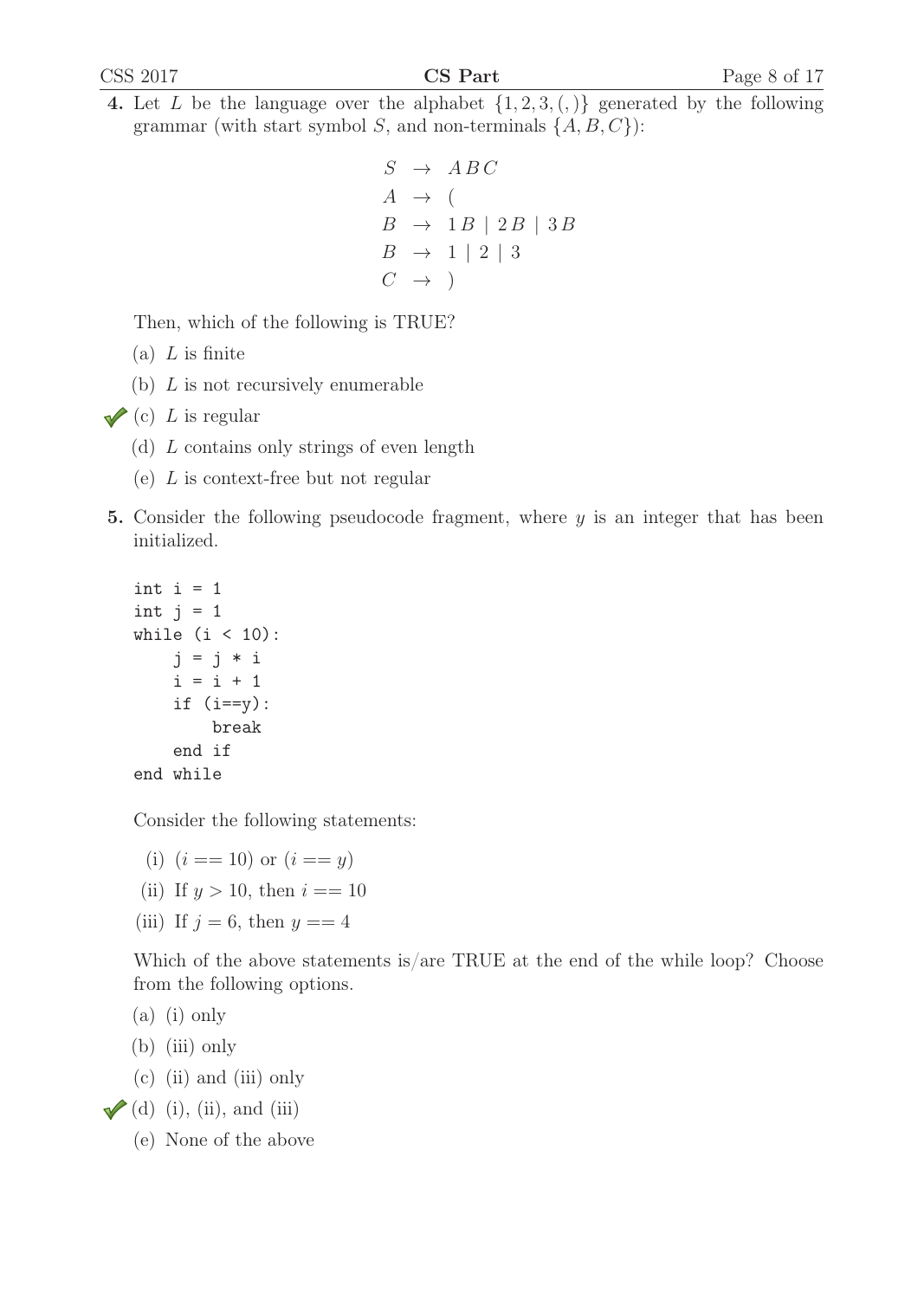4. Let L be the language over the alphabet  $\{1, 2, 3, (,) \}$  generated by the following grammar (with start symbol S, and non-terminals  $\{A, B, C\}$ ):

```
S \rightarrow ABCA \rightarrow (B \rightarrow 1B \mid 2B \mid 3BB \rightarrow 1 \mid 2 \mid 3C \rightarrow
```
Then, which of the following is TRUE?

- $(a)$  *L* is finite
- (b)  $L$  is not recursively enumerable

```
\sqrt{\left(c\right)} L is regular
```
- (d) L contains only strings of even length
- (e) L is context-free but not regular
- 5. Consider the following pseudocode fragment, where  $y$  is an integer that has been initialized.

```
int i = 1int j = 1while (i < 10):
    j = j * ii = i + 1if (i==y):break
    end if
end while
```
Consider the following statements:

- (i)  $(i == 10)$  or  $(i == y)$
- (ii) If  $y > 10$ , then  $i == 10$
- (iii) If  $j = 6$ , then  $y == 4$

Which of the above statements is/are TRUE at the end of the while loop? Choose from the following options.

(a) (i) only

- (b) (iii) only
- (c) (ii) and (iii) only
- $\checkmark$  (d) (i), (ii), and (iii)
	- (e) None of the above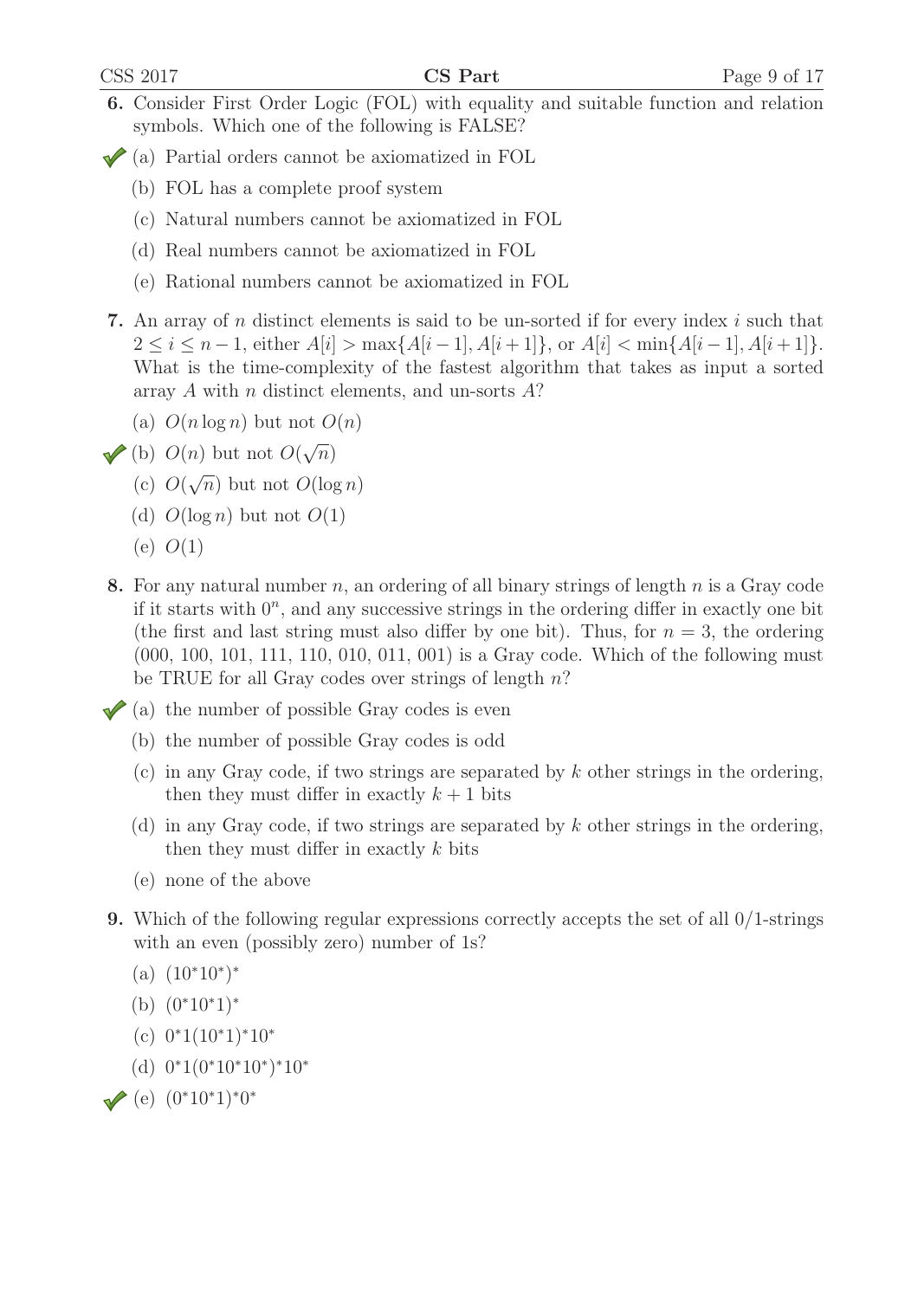- 6. Consider First Order Logic (FOL) with equality and suitable function and relation symbols. Which one of the following is FALSE?
- (a) Partial orders cannot be axiomatized in FOL
	- (b) FOL has a complete proof system
	- (c) Natural numbers cannot be axiomatized in FOL
	- (d) Real numbers cannot be axiomatized in FOL
	- (e) Rational numbers cannot be axiomatized in FOL
- 7. An array of n distinct elements is said to be un-sorted if for every index  $i$  such that  $2 \leq i \leq n-1$ , either  $A[i] > \max\{A[i-1], A[i+1]\}$ , or  $A[i] < \min\{A[i-1], A[i+1]\}$ . What is the time-complexity of the fastest algorithm that takes as input a sorted array A with  $n$  distinct elements, and un-sorts  $A$ ?
	- (a)  $O(n \log n)$  but not  $O(n)$
- (b)  $O(n)$  but not  $O(\sqrt{n})$ 
	- (c)  $O(\sqrt{n})$  but not  $O(\log n)$
	- (d)  $O(\log n)$  but not  $O(1)$
	- (e)  $O(1)$
- 8. For any natural number n, an ordering of all binary strings of length  $n$  is a Gray code if it starts with  $0^n$ , and any successive strings in the ordering differ in exactly one bit (the first and last string must also differ by one bit). Thus, for  $n = 3$ , the ordering (000, 100, 101, 111, 110, 010, 011, 001) is a Gray code. Which of the following must be TRUE for all Gray codes over strings of length  $n$ ?
- $\triangleleft$  (a) the number of possible Gray codes is even
	- (b) the number of possible Gray codes is odd
	- $(c)$  in any Gray code, if two strings are separated by k other strings in the ordering, then they must differ in exactly  $k + 1$  bits
	- (d) in any Gray code, if two strings are separated by k other strings in the ordering, then they must differ in exactly  $k$  bits
	- (e) none of the above
- 9. Which of the following regular expressions correctly accepts the set of all 0/1-strings with an even (possibly zero) number of 1s?
	- $(a)$   $(10^*10^*)^*$
	- (b) (0<sup>∗</sup>10<sup>∗</sup>1)<sup>∗</sup>
	- (c) 0<sup>∗</sup>1(10<sup>∗</sup>1)<sup>∗</sup>10<sup>∗</sup>
	- (d) 0<sup>∗</sup>1(0<sup>∗</sup>10<sup>∗</sup>10<sup>∗</sup>)<sup>∗</sup>10<sup>∗</sup>
- $\sqrt{e}$  (e)  $(0^*10^*1)^*0^*$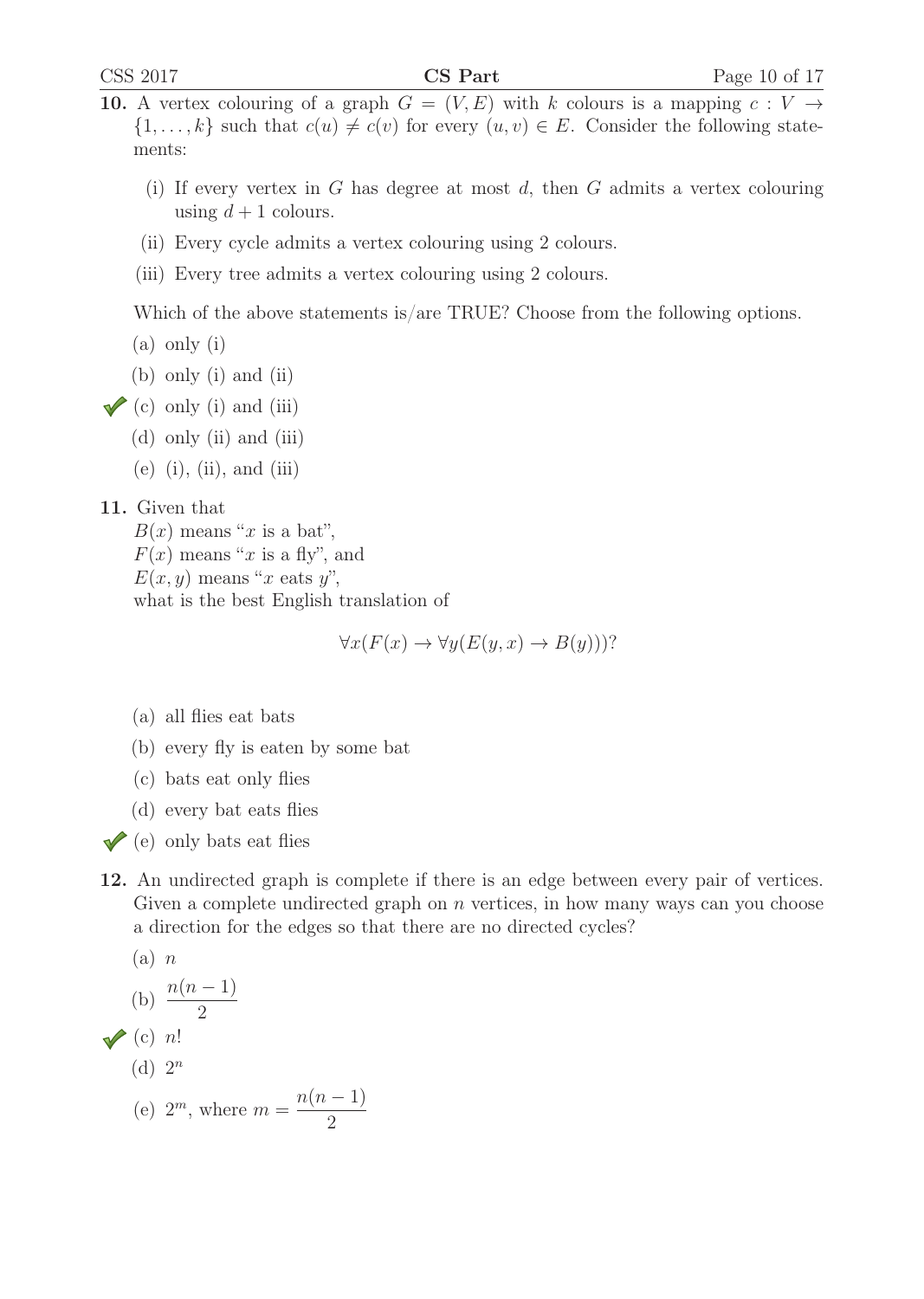- 10. A vertex colouring of a graph  $G = (V, E)$  with k colours is a mapping  $c: V \rightarrow$  $\{1,\ldots,k\}$  such that  $c(u) \neq c(v)$  for every  $(u, v) \in E$ . Consider the following statements:
	- (i) If every vertex in G has degree at most  $d$ , then G admits a vertex colouring using  $d+1$  colours.
	- (ii) Every cycle admits a vertex colouring using 2 colours.
	- (iii) Every tree admits a vertex colouring using 2 colours.

Which of the above statements is/are TRUE? Choose from the following options.

- (a) only (i)
- (b) only (i) and (ii)
- $\checkmark$  (c) only (i) and (iii)
	- (d) only (ii) and (iii)
	- $(e)$   $(i)$ ,  $(ii)$ , and  $(iii)$

#### 11. Given that

 $B(x)$  means "x is a bat",  $F(x)$  means "x is a fly", and  $E(x, y)$  means "x eats y", what is the best English translation of

$$
\forall x (F(x) \to \forall y (E(y, x) \to B(y)))?
$$

- (a) all flies eat bats
- (b) every fly is eaten by some bat
- (c) bats eat only flies
- (d) every bat eats flies
- $\checkmark$  (e) only bats eat flies
- 12. An undirected graph is complete if there is an edge between every pair of vertices. Given a complete undirected graph on  $n$  vertices, in how many ways can you choose a direction for the edges so that there are no directed cycles?

(a) n  
\n(b) 
$$
\frac{n(n-1)}{2}
$$
\n(c) n!  
\n(d)  $2^n$   
\n(e)  $2^m$ , where  $m = \frac{n(n-1)}{2}$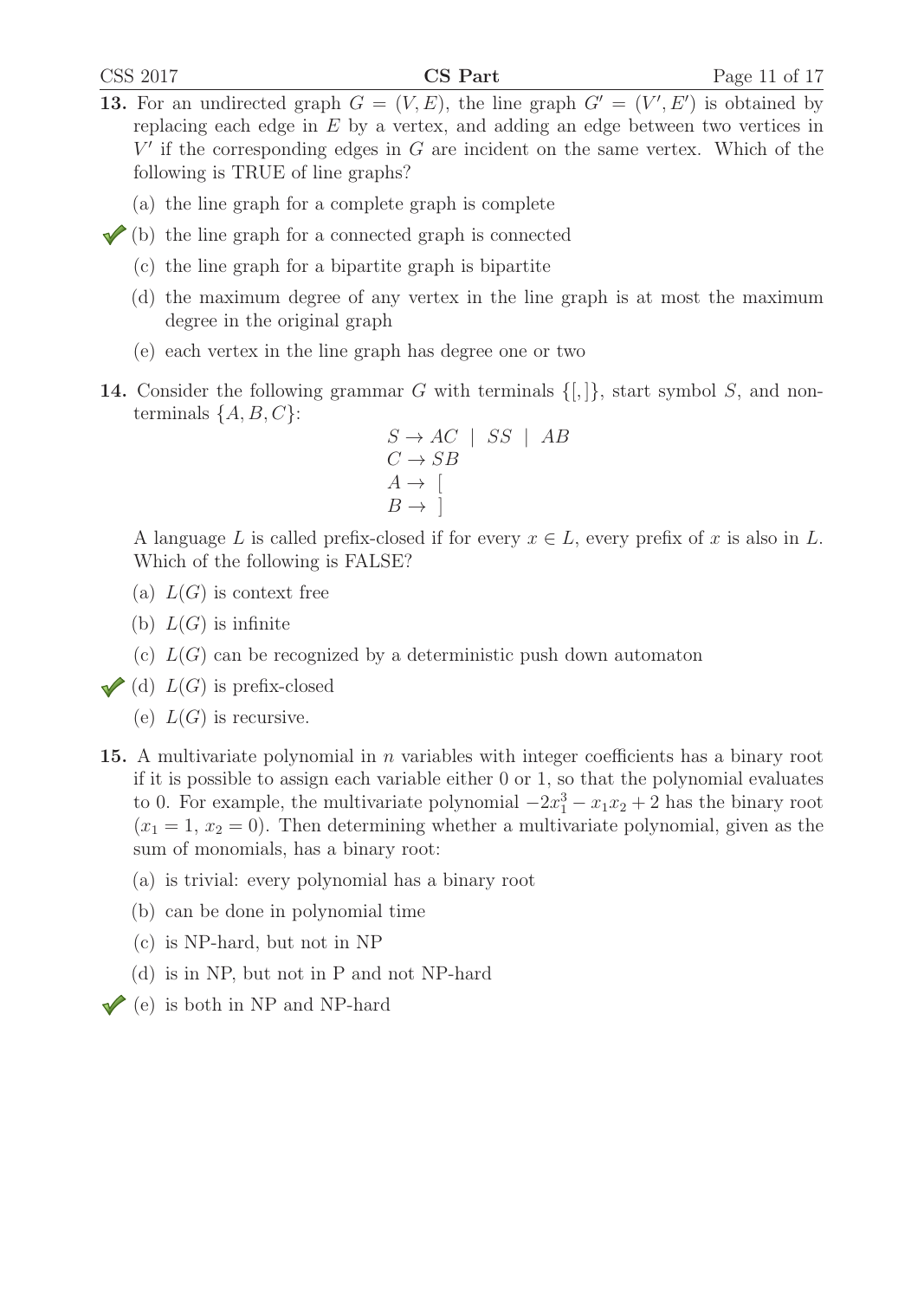- 13. For an undirected graph  $G = (V, E)$ , the line graph  $G' = (V', E')$  is obtained by<br>replacing each edge in E by a vertex and adding an edge between two vertices in replacing each edge in  $E$  by a vertex, and adding an edge between two vertices in  $V'$  if the corresponding edges in G are incident on the same vertex. Which of the following is TRUE of line graphs?
	- (a) the line graph for a complete graph is complete
- $\checkmark$  (b) the line graph for a connected graph is connected
	- (c) the line graph for a bipartite graph is bipartite
	- (d) the maximum degree of any vertex in the line graph is at most the maximum degree in the original graph
	- (e) each vertex in the line graph has degree one or two
- **14.** Consider the following grammar G with terminals  $\{[\,]\}$ , start symbol S, and nonterminals  $\{A, B, C\}$ :

$$
S \to AC \mid SS \mid AB
$$
  
\n
$$
C \to SB
$$
  
\n
$$
A \to \left[\begin{array}{c} B \to \end{array}\right]
$$

A language L is called prefix-closed if for every  $x \in L$ , every prefix of x is also in L. Which of the following is FALSE?

- (a)  $L(G)$  is context free
- (b)  $L(G)$  is infinite
- (c)  $L(G)$  can be recognized by a deterministic push down automaton
- (d)  $L(G)$  is prefix-closed
	- (e)  $L(G)$  is recursive.
- **15.** A multivariate polynomial in n variables with integer coefficients has a binary root if it is possible to assign each variable either 0 or 1, so that the polynomial evaluates to 0. For example, the multivariate polynomial  $-2x_1^3 - x_1x_2 + 2$  has the binary root  $(x_1 - 1, x_2 - 0)$ . Then determining whether a multivariate polynomial, given as the  $(x_1 = 1, x_2 = 0)$ . Then determining whether a multivariate polynomial, given as the sum of monomials, has a binary root:
	- (a) is trivial: every polynomial has a binary root
	- (b) can be done in polynomial time
	- (c) is NP-hard, but not in NP
	- (d) is in NP, but not in P and not NP-hard
- $\blacktriangleright$  (e) is both in NP and NP-hard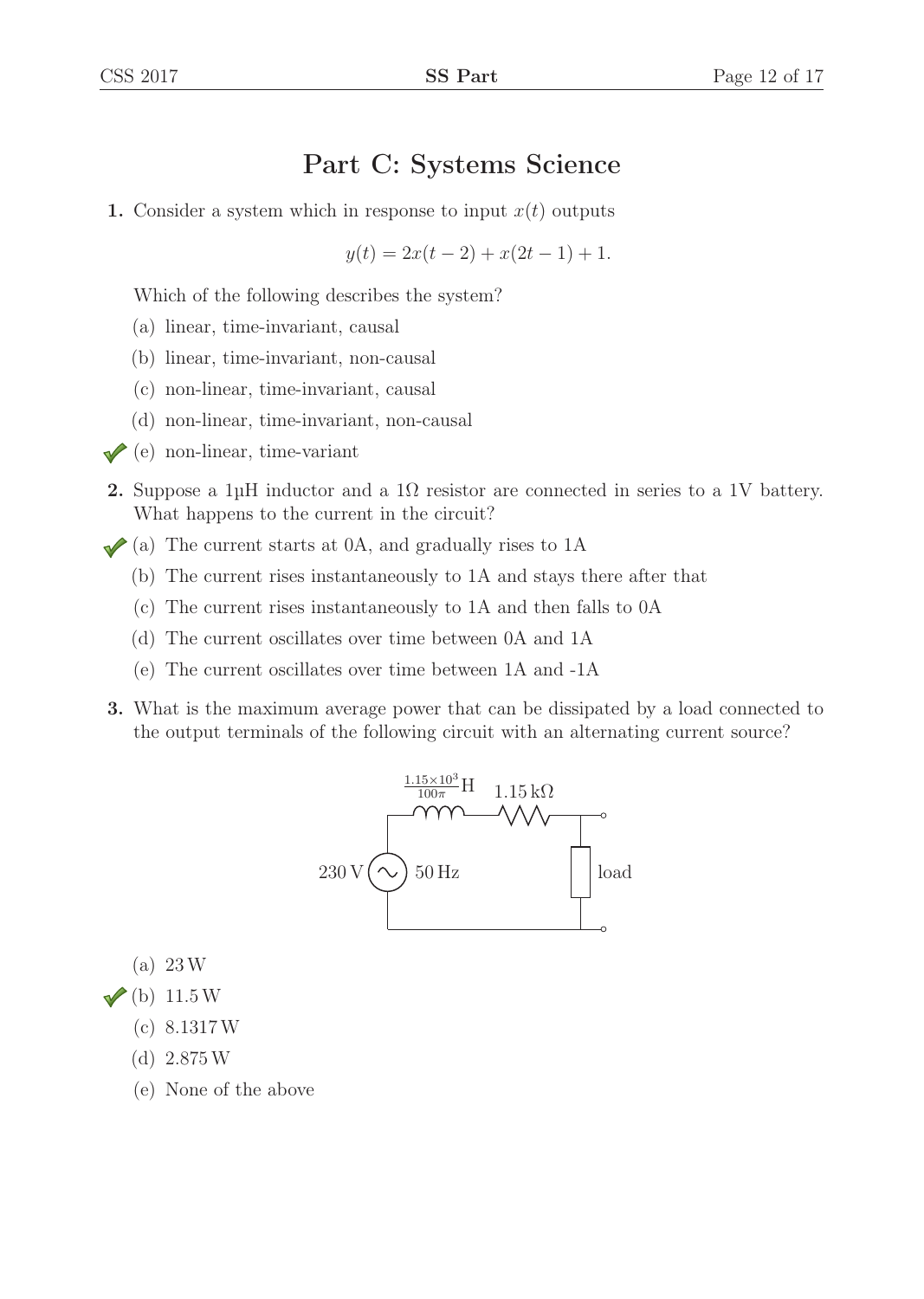# Part C: Systems Science

1. Consider a system which in response to input  $x(t)$  outputs

$$
y(t) = 2x(t-2) + x(2t - 1) + 1.
$$

Which of the following describes the system?

- (a) linear, time-invariant, causal
- (b) linear, time-invariant, non-causal
- (c) non-linear, time-invariant, causal
- (d) non-linear, time-invariant, non-causal
- $\blacklozenge$  (e) non-linear, time-variant
- 2. Suppose a 1μH inductor and a 1 $\Omega$  resistor are connected in series to a 1V battery. What happens to the current in the circuit?
- $\blacktriangleright$  (a) The current starts at 0A, and gradually rises to 1A
	- (b) The current rises instantaneously to 1A and stays there after that
	- (c) The current rises instantaneously to 1A and then falls to 0A
	- (d) The current oscillates over time between 0A and 1A
	- (e) The current oscillates over time between 1A and -1A
- 3. What is the maximum average power that can be dissipated by a load connected to the output terminals of the following circuit with an alternating current source?



(a) 23W

- $\sqrt{\left( \text{b} \right)}$  11.5W
	- (c) 8.1317W
	- (d) 2.875W
	- (e) None of the above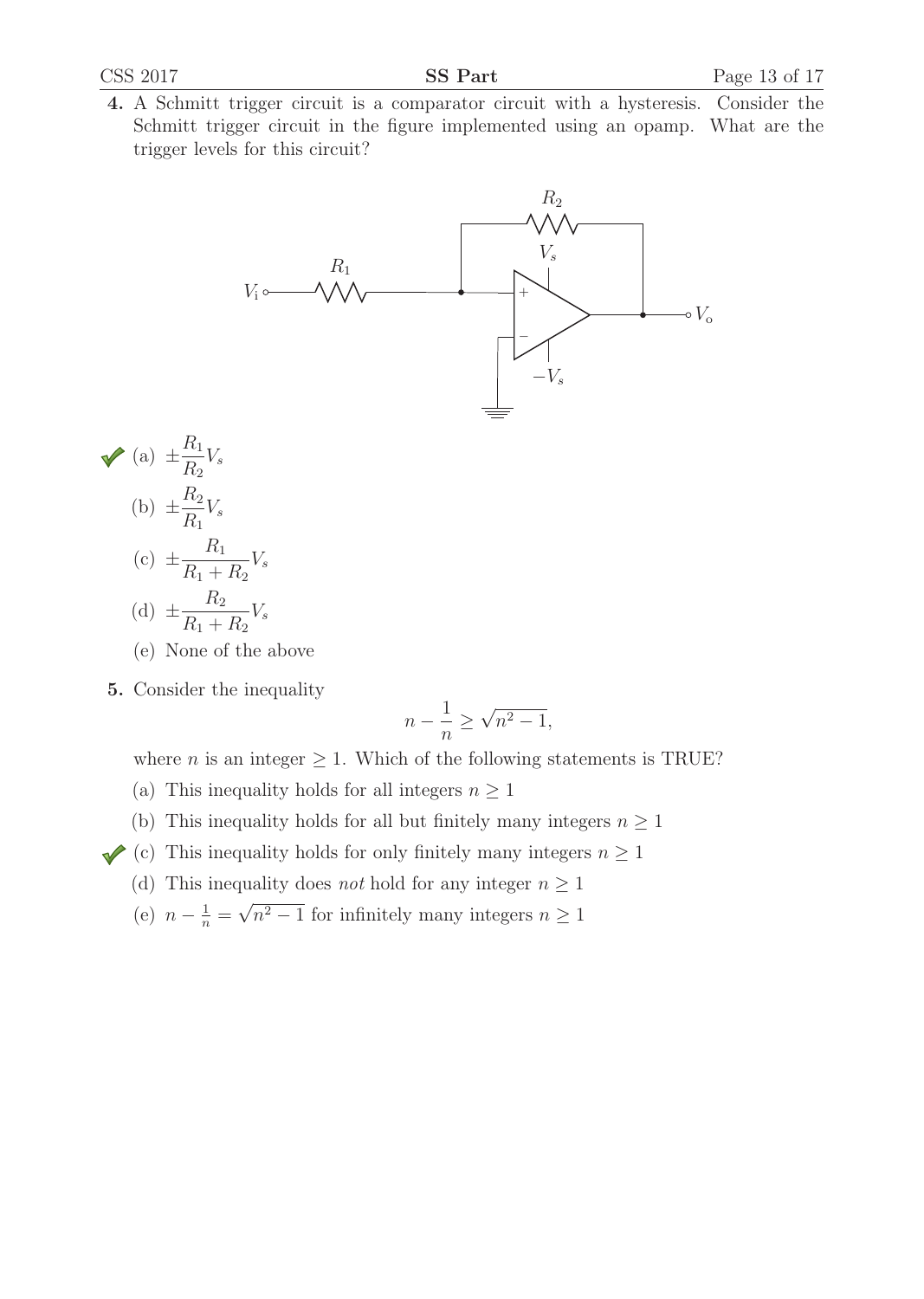4. A Schmitt trigger circuit is a comparator circuit with a hysteresis. Consider the Schmitt trigger circuit in the figure implemented using an opamp. What are the trigger levels for this circuit?



- (a)  $\pm \frac{R_1}{R_2} V_s$ (b)  $\pm \frac{R_2}{R_1} V_s$ (c)  $\pm \frac{R_1}{R_1 + R_2}$  $R_1 + R_2$  $V_s$ (d)  $\pm \frac{R_2}{R_1 + R_2}$  $V_s$ 
	- $R_1 + R_2$
	- (e) None of the above
- 5. Consider the inequality

$$
n - \frac{1}{n} \ge \sqrt{n^2 - 1},
$$

where *n* is an integer  $\geq$  1. Which of the following statements is TRUE?

- (a) This inequality holds for all integers  $n \geq 1$
- (b) This inequality holds for all but finitely many integers  $n \geq 1$
- (c) This inequality holds for only finitely many integers  $n \geq 1$ 
	- (d) This inequality does *not* hold for any integer  $n \geq 1$
	- (e)  $n \frac{1}{n} = \sqrt{n^2 1}$  for infinitely many integers  $n \ge 1$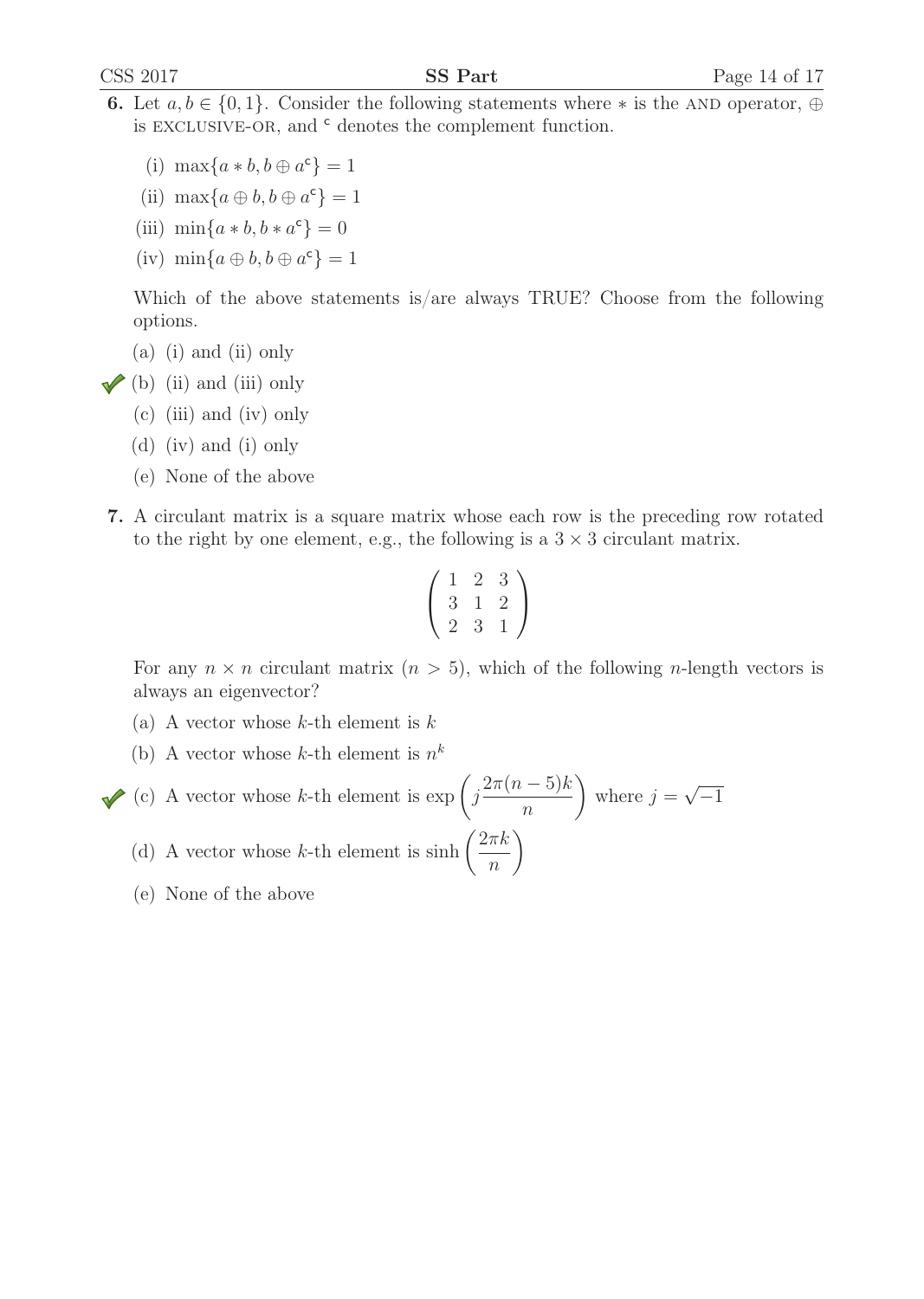- 6. Let  $a, b \in \{0, 1\}$ . Consider the following statements where  $*$  is the AND operator,  $\oplus$ is EXCLUSIVE-OR, and  $c$  denotes the complement function.
	- (i)  $\max\{a * b, b \oplus a^c\} = 1$
	- (ii)  $\max\{a \oplus b, b \oplus a^c\} = 1$
	- (iii)  $\min\{a * b, b * a^c\} = 0$
	- (iv)  $\min\{a \oplus b, b \oplus a^c\} = 1$

Which of the above statements is/are always TRUE? Choose from the following options.

- (a) (i) and (ii) only
- $\blacktriangleright$  (b) (ii) and (iii) only
	- (c) (iii) and (iv) only
	- (d) (iv) and (i) only
	- (e) None of the above
- 7. A circulant matrix is a square matrix whose each row is the preceding row rotated to the right by one element, e.g., the following is a  $3 \times 3$  circulant matrix.

$$
\left(\begin{array}{rrr} 1 & 2 & 3 \\ 3 & 1 & 2 \\ 2 & 3 & 1 \end{array}\right)
$$

For any  $n \times n$  circulant matrix  $(n > 5)$ , which of the following *n*-length vectors is always an eigenvector?

- (a) A vector whose  $k$ -th element is  $k$
- (b) A vector whose k-th element is  $n^k$

(c) A vector whose *k*-th element is 
$$
\exp\left(j\frac{2\pi(n-5)k}{n}\right)
$$
 where  $j = \sqrt{-1}$   
(d) A vector whose *k*-th element is  $\sinh\left(\frac{2\pi k}{n}\right)$ 

(e) None of the above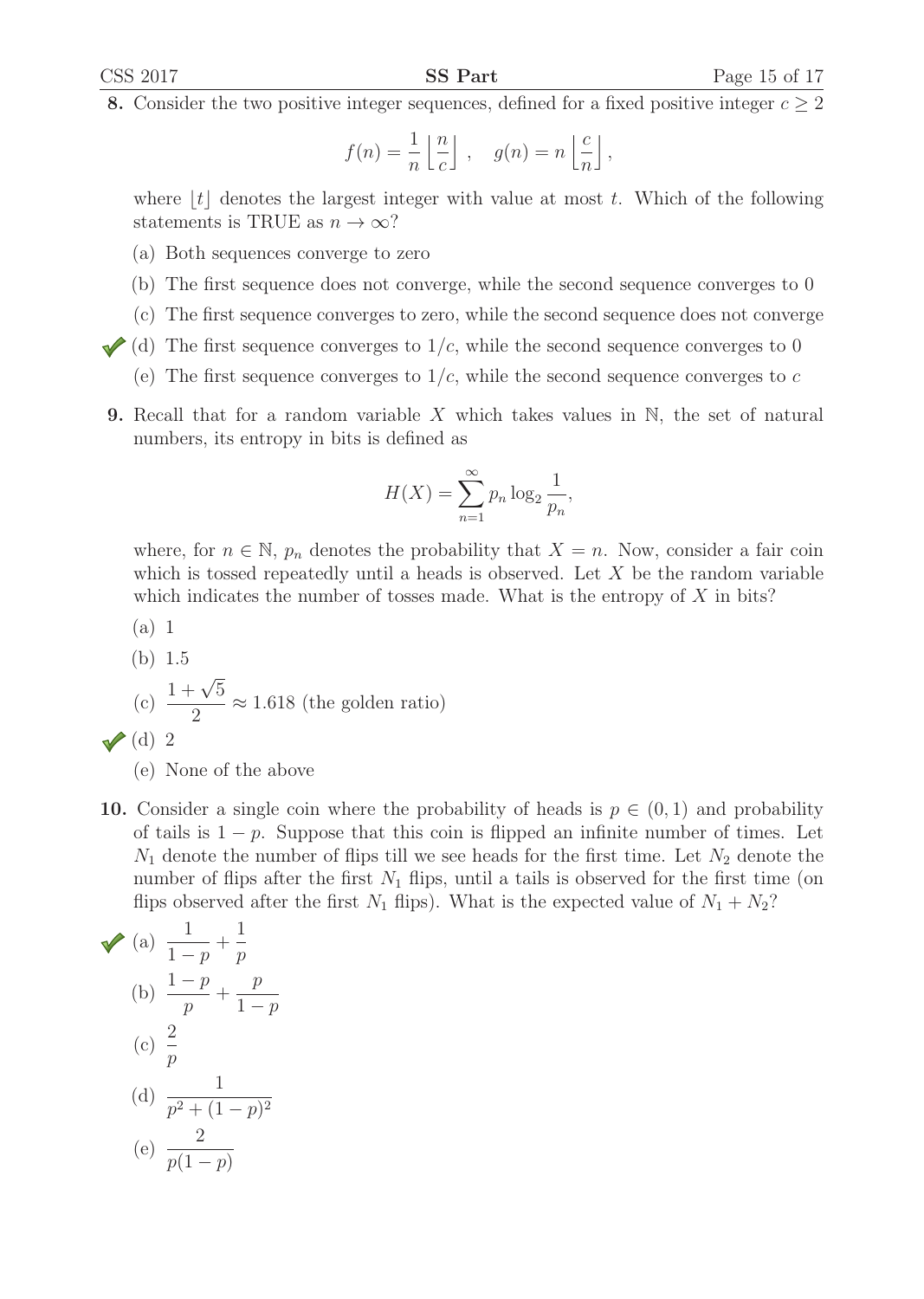8. Consider the two positive integer sequences, defined for a fixed positive integer  $c \geq 2$ 

$$
f(n) = \frac{1}{n} \left\lfloor \frac{n}{c} \right\rfloor , \quad g(n) = n \left\lfloor \frac{c}{n} \right\rfloor ,
$$

where  $|t|$  denotes the largest integer with value at most t. Which of the following statements is TRUE as  $n \to \infty$ ?

- (a) Both sequences converge to zero
- (b) The first sequence does not converge, while the second sequence converges to 0
- (c) The first sequence converges to zero, while the second sequence does not converge
- (d) The first sequence converges to  $1/c$ , while the second sequence converges to 0
	- (e) The first sequence converges to  $1/c$ , while the second sequence converges to c
- **9.** Recall that for a random variable X which takes values in  $\mathbb{N}$ , the set of natural numbers, its entropy in bits is defined as

$$
H(X) = \sum_{n=1}^{\infty} p_n \log_2 \frac{1}{p_n},
$$

where, for  $n \in \mathbb{N}$ ,  $p_n$  denotes the probability that  $X = n$ . Now, consider a fair coin which is tossed repeatedly until a heads is observed. Let  $X$  be the random variable which indicates the number of tosses made. What is the entropy of  $X$  in bits?

(a) 1

(b) 1.5 (c)  $\frac{1+\sqrt{5}}{2}$  $\approx$  1.618 (the golden ratio)  $\vee$  (d) 2

10. Consider a single coin where the probability of heads is  $p \in (0,1)$  and probability of tails is  $1 - p$ . Suppose that this coin is flipped an infinite number of times. Let  $N_1$  denote the number of flips till we see heads for the first time. Let  $N_2$  denote the number of flips after the first  $N_1$  flips, until a tails is observed for the first time (on flips observed after the first  $N_1$  flips). What is the expected value of  $N_1 + N_2$ ?

(a) 
$$
\frac{1}{1-p} + \frac{1}{p}
$$
  
\n(b)  $\frac{1-p}{p} + \frac{p}{1-p}$   
\n(c)  $\frac{2}{p}$   
\n(d)  $\frac{1}{p^2 + (1-p)^2}$   
\n(e)  $\frac{2}{p(1-p)}$ 

<sup>(</sup>e) None of the above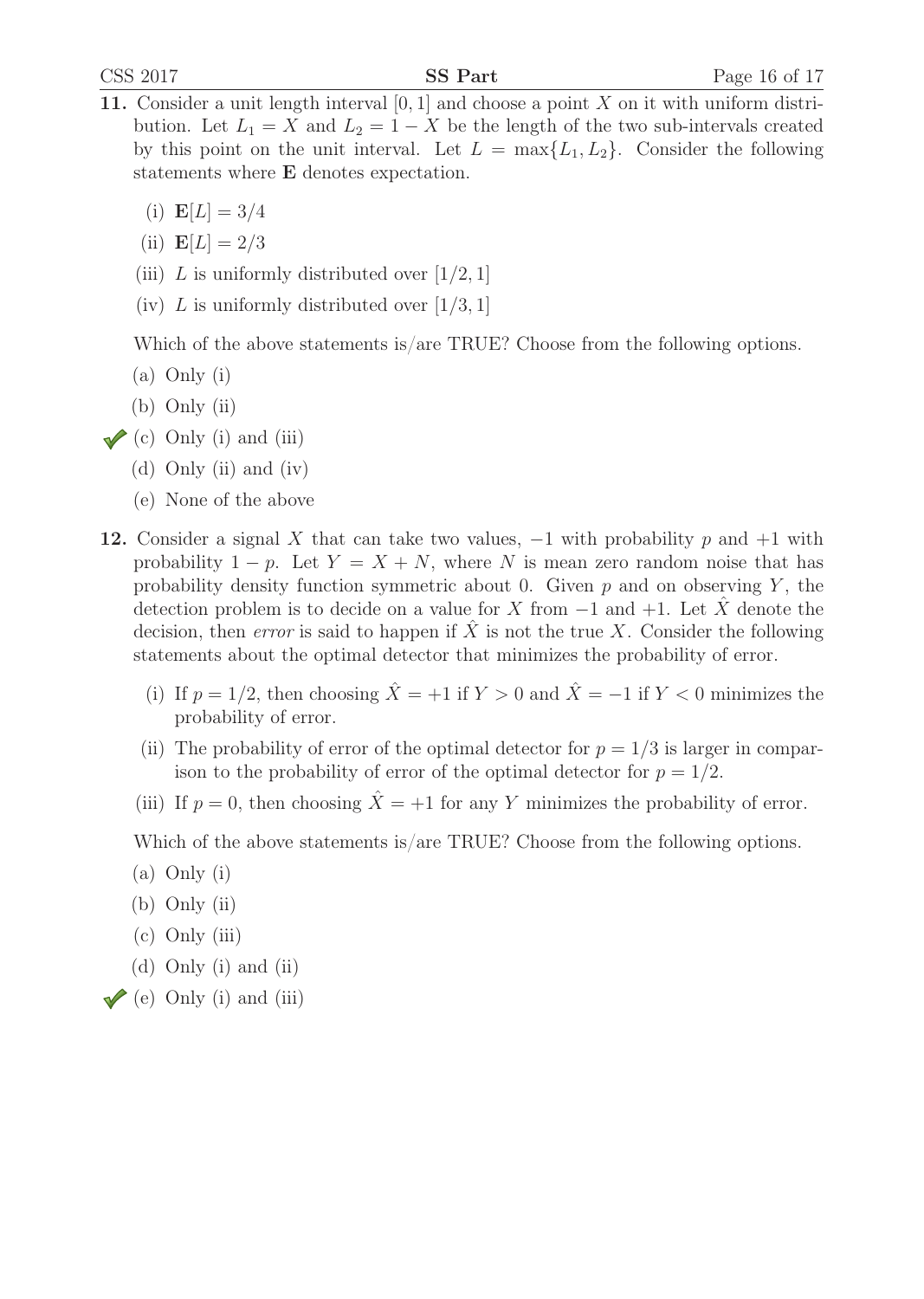- 11. Consider a unit length interval  $[0, 1]$  and choose a point X on it with uniform distribution. Let  $L_1 = X$  and  $L_2 = 1 - X$  be the length of the two sub-intervals created by this point on the unit interval. Let  $L = \max\{L_1, L_2\}$ . Consider the following statements where **E** denotes expectation.
	- (i)  $\mathbf{E}[L]=3/4$
	- (ii)  $$
	- (iii) L is uniformly distributed over  $[1/2, 1]$
	- (iv) L is uniformly distributed over  $[1/3, 1]$

Which of the above statements is/are TRUE? Choose from the following options.

- (a) Only (i)
- (b) Only (ii)
- $\checkmark$  (c) Only (i) and (iii)
	- (d) Only (ii) and (iv)
	- (e) None of the above
- 12. Consider a signal X that can take two values,  $-1$  with probability p and  $+1$  with probability  $1 - p$ . Let  $Y = X + N$ , where N is mean zero random noise that has probability density function symmetric about 0. Given  $p$  and on observing  $Y$ , the detection problem is to decide on a value for X from  $-1$  and  $+1$ . Let X denote the decision, then error is said to happen if  $\hat{X}$  is not the true X. Consider the following statements about the optimal detector that minimizes the probability of error.
	- (i) If  $p = 1/2$ , then choosing  $\hat{X} = +1$  if  $Y > 0$  and  $\hat{X} = -1$  if  $Y < 0$  minimizes the probability of error.
	- (ii) The probability of error of the optimal detector for  $p = 1/3$  is larger in comparison to the probability of error of the optimal detector for  $p = 1/2$ .
	- (iii) If  $p = 0$ , then choosing  $\hat{X} = +1$  for any Y minimizes the probability of error.

Which of the above statements is/are TRUE? Choose from the following options.

- (a) Only (i)
- (b) Only (ii)
- (c) Only (iii)
- (d) Only (i) and (ii)
- $\blacktriangleright$  (e) Only (i) and (iii)